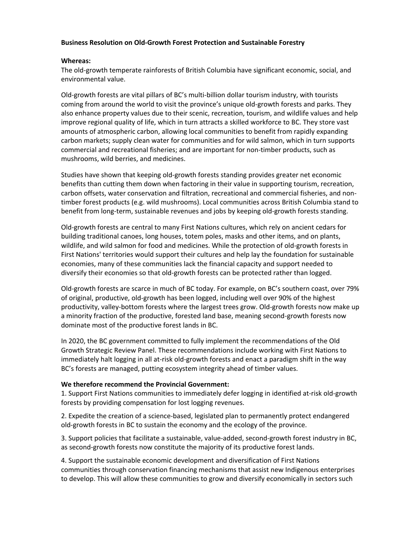## **Business Resolution on Old-Growth Forest Protection and Sustainable Forestry**

## **Whereas:**

The old-growth temperate rainforests of British Columbia have significant economic, social, and environmental value.

Old-growth forests are vital pillars of BC's multi-billion dollar tourism industry, with tourists coming from around the world to visit the province's unique old-growth forests and parks. They also enhance property values due to their scenic, recreation, tourism, and wildlife values and help improve regional quality of life, which in turn attracts a skilled workforce to BC. They store vast amounts of atmospheric carbon, allowing local communities to benefit from rapidly expanding carbon markets; supply clean water for communities and for wild salmon, which in turn supports commercial and recreational fisheries; and are important for non-timber products, such as mushrooms, wild berries, and medicines.

Studies have shown that keeping old-growth forests standing provides greater net economic benefits than cutting them down when factoring in their value in supporting tourism, recreation, carbon offsets, water conservation and filtration, recreational and commercial fisheries, and nontimber forest products (e.g. wild mushrooms). Local communities across British Columbia stand to benefit from long-term, sustainable revenues and jobs by keeping old-growth forests standing.

Old-growth forests are central to many First Nations cultures, which rely on ancient cedars for building traditional canoes, long houses, totem poles, masks and other items, and on plants, wildlife, and wild salmon for food and medicines. While the protection of old-growth forests in First Nations' territories would support their cultures and help lay the foundation for sustainable economies, many of these communities lack the financial capacity and support needed to diversify their economies so that old-growth forests can be protected rather than logged.

Old-growth forests are scarce in much of BC today. For example, on BC's southern coast, over 79% of original, productive, old-growth has been logged, including well over 90% of the highest productivity, valley-bottom forests where the largest trees grow. Old-growth forests now make up a minority fraction of the productive, forested land base, meaning second-growth forests now dominate most of the productive forest lands in BC.

In 2020, the BC government committed to fully implement the recommendations of the Old Growth Strategic Review Panel. These recommendations include working with First Nations to immediately halt logging in all at-risk old-growth forests and enact a paradigm shift in the way BC's forests are managed, putting ecosystem integrity ahead of timber values.

## **We therefore recommend the Provincial Government:**

1. Support First Nations communities to immediately defer logging in identified at-risk old-growth forests by providing compensation for lost logging revenues.

2. Expedite the creation of a science-based, legislated plan to permanently protect endangered old-growth forests in BC to sustain the economy and the ecology of the province.

3. Support policies that facilitate a sustainable, value-added, second-growth forest industry in BC, as second-growth forests now constitute the majority of its productive forest lands.

4. Support the sustainable economic development and diversification of First Nations communities through conservation financing mechanisms that assist new Indigenous enterprises to develop. This will allow these communities to grow and diversify economically in sectors such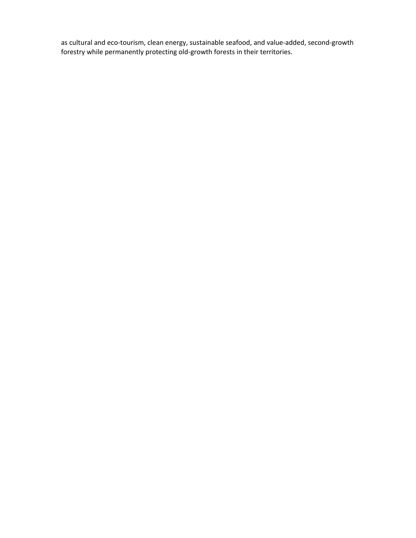as cultural and eco-tourism, clean energy, sustainable seafood, and value-added, second-growth forestry while permanently protecting old-growth forests in their territories.